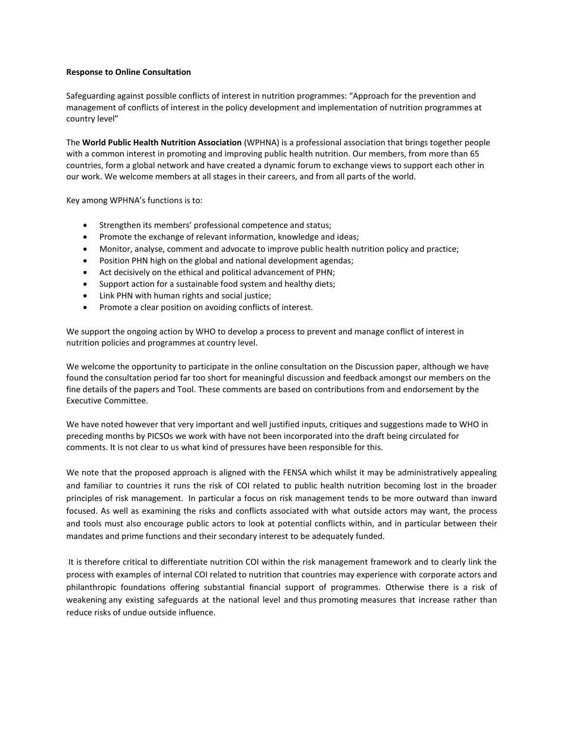## **Response to Online Consultation**

Safeguarding against possible conflicts of interest in nutrition programmes: "Approach for the prevention and management of conflicts of interest in the policy development and implementation of nutrition programmes at country level"

The **World Public Health Nutrition Association** (WPHNA) is a professional association that brings together people with a common interest in promoting and improving public health nutrition. Our members, from more than 65 countries, form a global network and have created a dynamic forum to exchange views to support each other in our work. We welcome members at all stages in their careers, and from all parts of the world.

Key among WPHNA's functions is to:

- Strengthen its members' professional competence and status;
- Promote the exchange of relevant information, knowledge and ideas;
- Monitor, analyse, comment and advocate to improve public health nutrition policy and practice;
- Position PHN high on the global and national development agendas;
- Act decisively on the ethical and political advancement of PHN;
- Support action for a sustainable food system and healthy diets;
- Link PHN with human rights and social justice;
- Promote a clear position on avoiding conflicts of interest.

We support the ongoing action by WHO to develop a process to prevent and manage conflict of interest in nutrition policies and programmes at country level.

We welcome the opportunity to participate in the online consultation on the Discussion paper, although we have found the consultation period far too short for meaningful discussion and feedback amongst our members on the fine details of the papers and Tool. These comments are based on contributions from and endorsement by the Executive Committee.

We have noted however that very important and well justified inputs, critiques and suggestions made to WHO in preceding months by PICSOs we work with have not been incorporated into the draft being circulated for comments. It is not clear to us what kind of pressures have been responsible for this.

We note that the proposed approach is aligned with the FENSA which whilst it may be administratively appealing and familiar to countries it runs the risk of COI related to public health nutrition becoming lost in the broader principles of risk management. In particular a focus on risk management tends to be more outward than inward focused. As well as examining the risks and conflicts associated with what outside actors may want, the process and tools must also encourage public actors to look at potential conflicts within, and in particular between their mandates and prime functions and their secondary interest to be adequately funded.

It is therefore critical to differentiate nutrition COI within the risk management framework and to clearly link the process with examples of internal COI related to nutrition that countries may experience with corporate actors and philanthropic foundations offering substantial financial support of programmes. Otherwise there is a risk of weakening any existing safeguards at the national level and thus promoting measures that increase rather than reduce risks of undue outside influence.